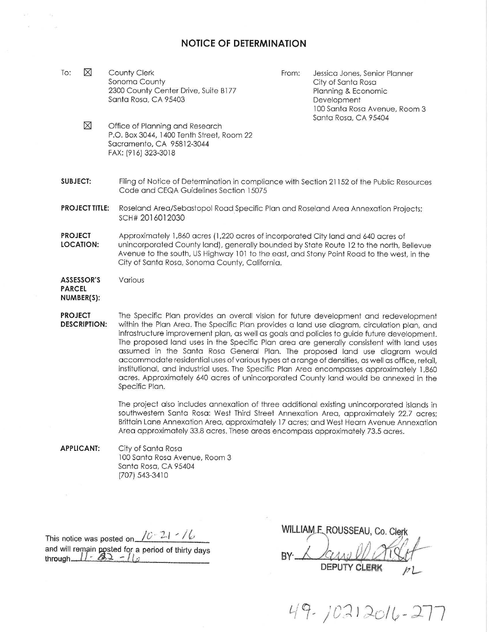## **NOTICE OF DETERMINATION**

To:  $\boxtimes$ County Clerk Sonoma County 2300 County Center Drive, Suite B177 Santa Rosa, CA 95403

From: Jessica Jones, Senior Planner City of Santa Roso Planning & Economic Development 100 Santo Roso Avenue, Room 3 Santa Rosa, CA 95404

- $\boxtimes$ Office of Planning and Research P.O. Box 3044, 1400 Tenth Street, Room 22 Sacramento, CA 95812-3044 FAX: (916) 323-3018
- **SUBJECT:**  Filing of Notice of Determination in compliance with Section 21152 of the Public Resources Code and CEQA Guidelines Section 15075
- **PROJECT TITLE:** Roseland Area/Sebastopol Road Specific Plan and Roseland Area Annexation Projects; SCH# 2016012030
- **PROJECT LOCATION:**  Approximately 1,860 acres (1,220 acres of incorporated City land and 640 acres of unincorporated County land), generally bounded by State Route 12 to the north, Bellevue Avenue to the south, US Highway 101 to the east, and Stony Point Road to the west, in the City of Santo Roso, Sonoma County, California.

**ASSESSOR'S PARCEL NUMBER(S):**  Various

**PROJECT DESCRIPTION:**  The Specific Plan provides an overall vision for future development and redevelopment within the Plan Area. The Specific Plan provides a land use diagram, circulation plan, and infrastructure improvement pion, as well as goals and policies to guide future development. The proposed land uses in the Specific Plan area are generally consistent with land uses assumed in the Santa Rosa General Plan. The proposed land use diagram would accommodate residential uses of various types at a range of densities, as well as office, retail, institutional, and industrial uses. The Specific Plan Area encompasses approximately 1,860 acres. Approximately 640 acres of unincorporated County land would be annexed in the Specific Plan.

> The project also includes annexation of three additional existing unincorporated islands in southwestern Santa Rosa: West Third Street Annexation Area, approximately 22.7 acres; Brittain Lane Annexation Area, approximately 17 acres; and West Hearn Avenue Annexation Area approximately 33.8 acres. These areas encompass approximately 73.5 acres.

**APPLICANT:**  City of Santa Rosa 100 Santa Rosa Avenue, Room 3 Santa Rosa, CA 95404 (707) 543-3410

This notice was posted on  $\sqrt{C - 2.1 - / C}$ <br>WILLIAM E ROUSSEAU, Co. Clerk

This notice was posted on TO 21 TV.<br>
and will remain posted for a period of thirty days<br> **through BY** Annual **BY** All **All DEPUTY CLERK** *p* **L-**

 $49.70212016 - 27$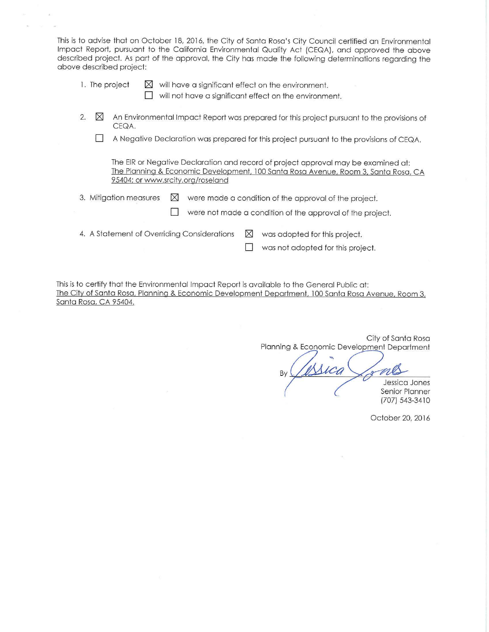This is to advise that on October 18, 2016, the City of Santo Rosa's City Council certified on Environmental Impact Report, pursuant to the California Environmental Quality Act (CEQA), and approved the above described project. As port of the approval, the City hos mode the following determinations regarding the above described project:

1. The project  $\boxtimes$  will have a significant effect on the environment.

 $\Box$  will not have a significant effect on the environment.

- 2.  $\boxtimes$  An Environmental Impact Report was prepared for this project pursuant to the provisions of CEQA.
	- D A Negative Declaration was prepared for this project pursuant to the provisions of CEQA.

The EIR or Negative Declaration and record of project approval may be examined at: The Planning & Economic Development, 100 Santo Roso Avenue. Room 3, Santo Roso, CA 95404; or www.srcity.org/roselond

3. Mitigation measures  $\boxtimes$  were made a condition of the approval of the project.

 $\Box$  were not made a condition of the approval of the project.

- 4. A Statement of Overriding Considerations  $\boxtimes$  was adopted for this project.
	-

 $\Box$  was not adopted for this project.

This is to certify that the Environmental Impact Report is available to the General Public at: The City of Santa Rosa, Planning & Economic Development Department, 100 Santa Rosa Avenue, Room 3, Santa Rosa, CA 95404.

City of Santo Rosa Planning & Economic Development Department Jessica Jones Senior Planner (707) 543-3410

October 20, 2016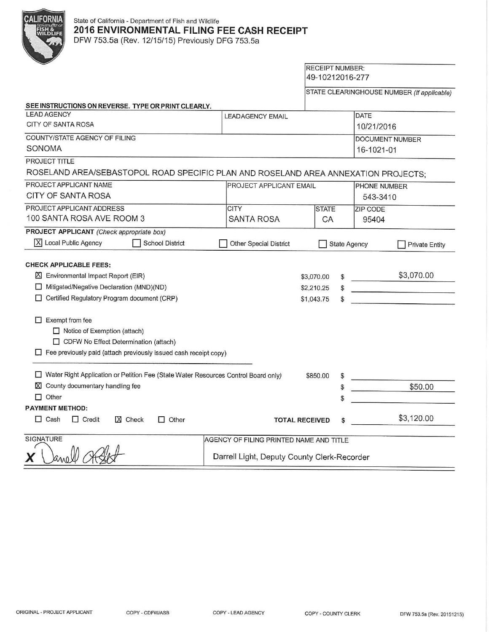

## State of California - Department of Fish and Wildlife **2016 ENVIRONMENTAL FILING FEE CASH RECEIPT**

DFW 753.5a (Rev. 12/15/15) Previously DFG 753.5a

## RECEIPT NUMBER: 49-10212016-277

STATE CLEARINGHOUSE NUMBER (If applicable)

| SEE INSTRUCTIONS ON REVERSE. TYPE OR PRINT CLEARLY.                                                                                                                                                                                                                                                                                                |                                             |                                        |                        |  |
|----------------------------------------------------------------------------------------------------------------------------------------------------------------------------------------------------------------------------------------------------------------------------------------------------------------------------------------------------|---------------------------------------------|----------------------------------------|------------------------|--|
| <b>LEAD AGENCY</b>                                                                                                                                                                                                                                                                                                                                 | <b>LEADAGENCY EMAIL</b>                     |                                        | <b>DATE</b>            |  |
| CITY OF SANTA ROSA                                                                                                                                                                                                                                                                                                                                 |                                             |                                        | 10/21/2016             |  |
| COUNTY/STATE AGENCY OF FILING                                                                                                                                                                                                                                                                                                                      |                                             |                                        | <b>DOCUMENT NUMBER</b> |  |
| SONOMA                                                                                                                                                                                                                                                                                                                                             |                                             |                                        | 16-1021-01             |  |
| PROJECT TITLE                                                                                                                                                                                                                                                                                                                                      |                                             |                                        |                        |  |
| ROSELAND AREA/SEBASTOPOL ROAD SPECIFIC PLAN AND ROSELAND AREA ANNEXATION PROJECTS;                                                                                                                                                                                                                                                                 |                                             |                                        |                        |  |
| PROJECT APPLICANT NAME                                                                                                                                                                                                                                                                                                                             | <b>PROJECT APPLICANT EMAIL</b>              |                                        | <b>PHONE NUMBER</b>    |  |
| <b>CITY OF SANTA ROSA</b>                                                                                                                                                                                                                                                                                                                          |                                             |                                        | 543-3410               |  |
| PROJECT APPLICANT ADDRESS                                                                                                                                                                                                                                                                                                                          | <b>CITY</b>                                 | <b>STATE</b>                           | ZIP CODE               |  |
| 100 SANTA ROSA AVE ROOM 3                                                                                                                                                                                                                                                                                                                          | <b>SANTA ROSA</b>                           | CA                                     | 95404                  |  |
| PROJECT APPLICANT (Check appropriate box)                                                                                                                                                                                                                                                                                                          |                                             |                                        |                        |  |
| $ \overline{X} $ Local Public Agency<br><b>School District</b>                                                                                                                                                                                                                                                                                     | Other Special District                      | <b>State Agency</b>                    | <b>Private Entity</b>  |  |
| <b>CHECK APPLICABLE FEES:</b><br>区 Environmental Impact Report (EIR)<br>Mitigated/Negative Declaration (MND)(ND)<br>Certified Regulatory Program document (CRP)<br>Exempt from fee<br><b>T</b><br>$\Box$ Notice of Exemption (attach)<br>CDFW No Effect Determination (attach)<br>Fee previously paid (attach previously issued cash receipt copy) |                                             | \$3,070.00<br>\$2,210.25<br>\$1,043.75 | \$3,070.00             |  |
| □ Water Right Application or Petition Fee (State Water Resources Control Board only)<br>$\boxtimes$ County documentary handling fee<br>$\Box$ Other                                                                                                                                                                                                |                                             | \$850.00                               | \$50.00                |  |
| <b>PAYMENT METHOD:</b>                                                                                                                                                                                                                                                                                                                             |                                             |                                        |                        |  |
| $\Box$ Cash<br>$\Box$ Credit<br>X Check<br>$\Box$ Other                                                                                                                                                                                                                                                                                            | <b>TOTAL RECEIVED</b>                       |                                        | \$3,120.00             |  |
| SIGNATURE                                                                                                                                                                                                                                                                                                                                          | AGENCY OF FILING PRINTED NAME AND TITLE     |                                        |                        |  |
| Χ                                                                                                                                                                                                                                                                                                                                                  | Darrell Light, Deputy County Clerk-Recorder |                                        |                        |  |